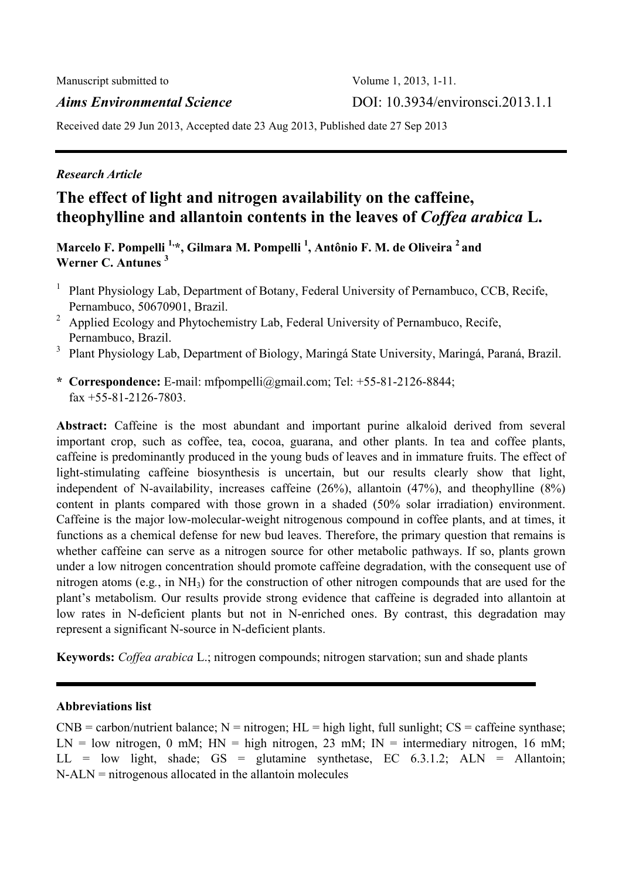# *Aims Environmental Science* DOI: 10.3934/environsci.2013.1.1

Received date 29 Jun 2013, Accepted date 23 Aug 2013, Published date 27 Sep 2013

# *Research Article*

# **The effect of light and nitrogen availability on the caffeine, theophylline and allantoin contents in the leaves of** *Coffea arabica* **L.**

**Marcelo F. Pompelli 1,\*, Gilmara M. Pompelli 1 , Antônio F. M. de Oliveira 2 and Werner C. Antunes 3**

- <sup>1</sup> Plant Physiology Lab, Department of Botany, Federal University of Pernambuco, CCB, Recife, Pernambuco, 50670901, Brazil.
- <sup>2</sup> Applied Ecology and Phytochemistry Lab, Federal University of Pernambuco, Recife, Pernambuco, Brazil.
- <sup>3</sup> Plant Physiology Lab, Department of Biology, Maringá State University, Maringá, Paraná, Brazil.
- **\* Correspondence:** E-mail: mfpompelli@gmail.com; Tel: +55-81-2126-8844;  $\text{fax } +55 - 81 - 2126 - 7803$ .

**Abstract:** Caffeine is the most abundant and important purine alkaloid derived from several important crop, such as coffee, tea, cocoa, guarana, and other plants. In tea and coffee plants, caffeine is predominantly produced in the young buds of leaves and in immature fruits. The effect of light-stimulating caffeine biosynthesis is uncertain, but our results clearly show that light, independent of N-availability, increases caffeine (26%), allantoin (47%), and theophylline (8%) content in plants compared with those grown in a shaded (50% solar irradiation) environment. Caffeine is the major low-molecular-weight nitrogenous compound in coffee plants, and at times, it functions as a chemical defense for new bud leaves. Therefore, the primary question that remains is whether caffeine can serve as a nitrogen source for other metabolic pathways. If so, plants grown under a low nitrogen concentration should promote caffeine degradation, with the consequent use of nitrogen atoms (e.g*.*, in NH3) for the construction of other nitrogen compounds that are used for the plant's metabolism. Our results provide strong evidence that caffeine is degraded into allantoin at low rates in N-deficient plants but not in N-enriched ones. By contrast, this degradation may represent a significant N-source in N-deficient plants.

**Keywords:** *Coffea arabica* L.; nitrogen compounds; nitrogen starvation; sun and shade plants

## **Abbreviations list**

 $CNB =$  carbon/nutrient balance;  $N =$  nitrogen;  $HL =$  high light, full sunlight;  $CS =$  caffeine synthase;  $LN = low$  nitrogen, 0 mM;  $HN = high$  nitrogen, 23 mM;  $IN =$  intermediary nitrogen, 16 mM;  $LL = low$  light, shade;  $GS = glutamine$  synthetase,  $EC$  6.3.1.2;  $ALN = Allantoin;$ N-ALN = nitrogenous allocated in the allantoin molecules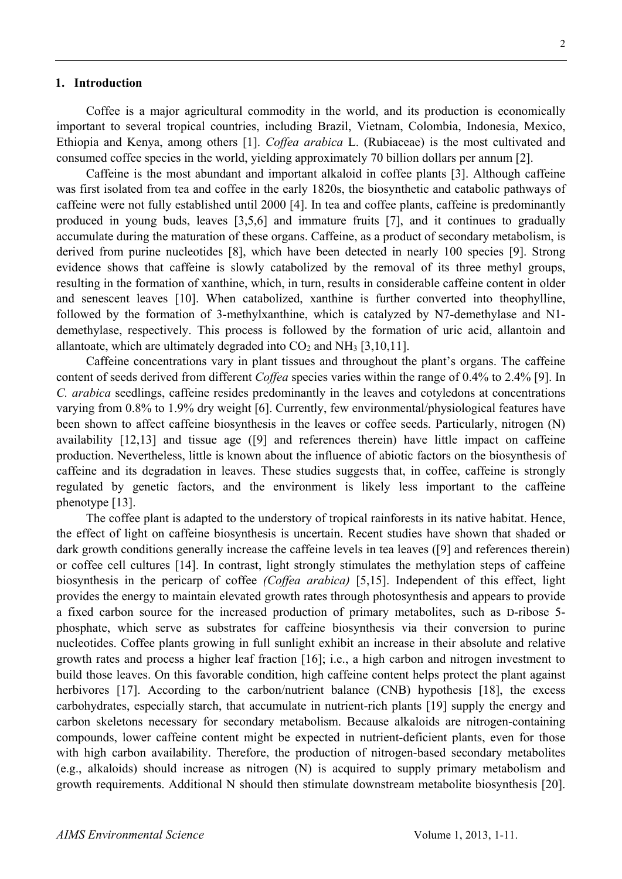#### **1. Introduction**

Coffee is a major agricultural commodity in the world, and its production is economically important to several tropical countries, including Brazil, Vietnam, Colombia, Indonesia, Mexico, Ethiopia and Kenya, among others [1]. *Coffea arabica* L. (Rubiaceae) is the most cultivated and consumed coffee species in the world, yielding approximately 70 billion dollars per annum [2].

Caffeine is the most abundant and important alkaloid in coffee plants [3]. Although caffeine was first isolated from tea and coffee in the early 1820s, the biosynthetic and catabolic pathways of caffeine were not fully established until 2000 [4]. In tea and coffee plants, caffeine is predominantly produced in young buds, leaves [3,5,6] and immature fruits [7], and it continues to gradually accumulate during the maturation of these organs. Caffeine, as a product of secondary metabolism, is derived from purine nucleotides [8], which have been detected in nearly 100 species [9]. Strong evidence shows that caffeine is slowly catabolized by the removal of its three methyl groups, resulting in the formation of xanthine, which, in turn, results in considerable caffeine content in older and senescent leaves [10]. When catabolized, xanthine is further converted into theophylline, followed by the formation of 3-methylxanthine, which is catalyzed by N7-demethylase and N1 demethylase, respectively. This process is followed by the formation of uric acid, allantoin and allantoate, which are ultimately degraded into  $CO<sub>2</sub>$  and NH<sub>3</sub> [3,10,11].

Caffeine concentrations vary in plant tissues and throughout the plant's organs. The caffeine content of seeds derived from different *Coffea* species varies within the range of 0.4% to 2.4% [9]. In *C. arabica* seedlings, caffeine resides predominantly in the leaves and cotyledons at concentrations varying from 0.8% to 1.9% dry weight [6]. Currently, few environmental/physiological features have been shown to affect caffeine biosynthesis in the leaves or coffee seeds. Particularly, nitrogen (N) availability [12,13] and tissue age ([9] and references therein) have little impact on caffeine production. Nevertheless, little is known about the influence of abiotic factors on the biosynthesis of caffeine and its degradation in leaves. These studies suggests that, in coffee, caffeine is strongly regulated by genetic factors, and the environment is likely less important to the caffeine phenotype [13].

The coffee plant is adapted to the understory of tropical rainforests in its native habitat. Hence, the effect of light on caffeine biosynthesis is uncertain. Recent studies have shown that shaded or dark growth conditions generally increase the caffeine levels in tea leaves ([9] and references therein) or coffee cell cultures [14]. In contrast, light strongly stimulates the methylation steps of caffeine biosynthesis in the pericarp of coffee *(Coffea arabica)* [5,15]. Independent of this effect, light provides the energy to maintain elevated growth rates through photosynthesis and appears to provide a fixed carbon source for the increased production of primary metabolites, such as D-ribose 5 phosphate, which serve as substrates for caffeine biosynthesis via their conversion to purine nucleotides. Coffee plants growing in full sunlight exhibit an increase in their absolute and relative growth rates and process a higher leaf fraction [16]; i.e., a high carbon and nitrogen investment to build those leaves. On this favorable condition, high caffeine content helps protect the plant against herbivores [17]. According to the carbon/nutrient balance (CNB) hypothesis [18], the excess carbohydrates, especially starch, that accumulate in nutrient-rich plants [19] supply the energy and carbon skeletons necessary for secondary metabolism. Because alkaloids are nitrogen-containing compounds, lower caffeine content might be expected in nutrient-deficient plants, even for those with high carbon availability. Therefore, the production of nitrogen-based secondary metabolites (e.g., alkaloids) should increase as nitrogen (N) is acquired to supply primary metabolism and growth requirements. Additional N should then stimulate downstream metabolite biosynthesis [20].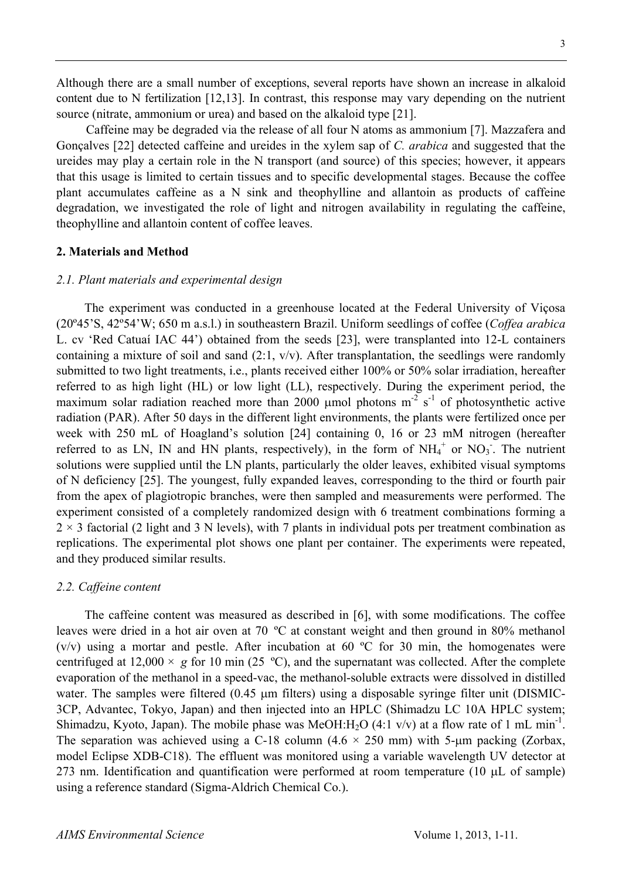Although there are a small number of exceptions, several reports have shown an increase in alkaloid content due to N fertilization [12,13]. In contrast, this response may vary depending on the nutrient source (nitrate, ammonium or urea) and based on the alkaloid type [21].

Caffeine may be degraded via the release of all four N atoms as ammonium [7]. Mazzafera and Gonçalves [22] detected caffeine and ureides in the xylem sap of *C. arabica* and suggested that the ureides may play a certain role in the N transport (and source) of this species; however, it appears that this usage is limited to certain tissues and to specific developmental stages. Because the coffee plant accumulates caffeine as a N sink and theophylline and allantoin as products of caffeine degradation, we investigated the role of light and nitrogen availability in regulating the caffeine, theophylline and allantoin content of coffee leaves.

#### **2. Materials and Method**

#### *2.1. Plant materials and experimental design*

The experiment was conducted in a greenhouse located at the Federal University of Viçosa (20º45'S, 42º54'W; 650 m a.s.l.) in southeastern Brazil. Uniform seedlings of coffee (*Coffea arabica*  L. cv 'Red Catuaí IAC 44') obtained from the seeds [23], were transplanted into 12-L containers containing a mixture of soil and sand (2:1, v/v). After transplantation, the seedlings were randomly submitted to two light treatments, i.e., plants received either 100% or 50% solar irradiation, hereafter referred to as high light (HL) or low light (LL), respectively. During the experiment period, the maximum solar radiation reached more than 2000  $\mu$ mol photons m<sup>-2</sup> s<sup>-1</sup> of photosynthetic active radiation (PAR). After 50 days in the different light environments, the plants were fertilized once per week with 250 mL of Hoagland's solution [24] containing 0, 16 or 23 mM nitrogen (hereafter referred to as LN, IN and HN plants, respectively), in the form of  $NH_4^+$  or  $NO_3^-$ . The nutrient solutions were supplied until the LN plants, particularly the older leaves, exhibited visual symptoms of N deficiency [25]. The youngest, fully expanded leaves, corresponding to the third or fourth pair from the apex of plagiotropic branches, were then sampled and measurements were performed. The experiment consisted of a completely randomized design with 6 treatment combinations forming a  $2 \times 3$  factorial (2 light and 3 N levels), with 7 plants in individual pots per treatment combination as replications. The experimental plot shows one plant per container. The experiments were repeated, and they produced similar results.

#### *2.2. Caffeine content*

The caffeine content was measured as described in [6], with some modifications. The coffee leaves were dried in a hot air oven at 70 ºC at constant weight and then ground in 80% methanol  $(v/v)$  using a mortar and pestle. After incubation at 60 °C for 30 min, the homogenates were centrifuged at  $12,000 \times g$  for 10 min (25 °C), and the supernatant was collected. After the complete evaporation of the methanol in a speed-vac, the methanol-soluble extracts were dissolved in distilled water. The samples were filtered (0.45 μm filters) using a disposable syringe filter unit (DISMIC-3CP, Advantec, Tokyo, Japan) and then injected into an HPLC (Shimadzu LC 10A HPLC system; Shimadzu, Kyoto, Japan). The mobile phase was MeOH:H<sub>2</sub>O (4:1 v/v) at a flow rate of 1 mL min<sup>-1</sup>. The separation was achieved using a C-18 column  $(4.6 \times 250 \text{ mm})$  with 5-µm packing (Zorbax, model Eclipse XDB-C18). The effluent was monitored using a variable wavelength UV detector at 273 nm. Identification and quantification were performed at room temperature (10 μL of sample) using a reference standard (Sigma-Aldrich Chemical Co.).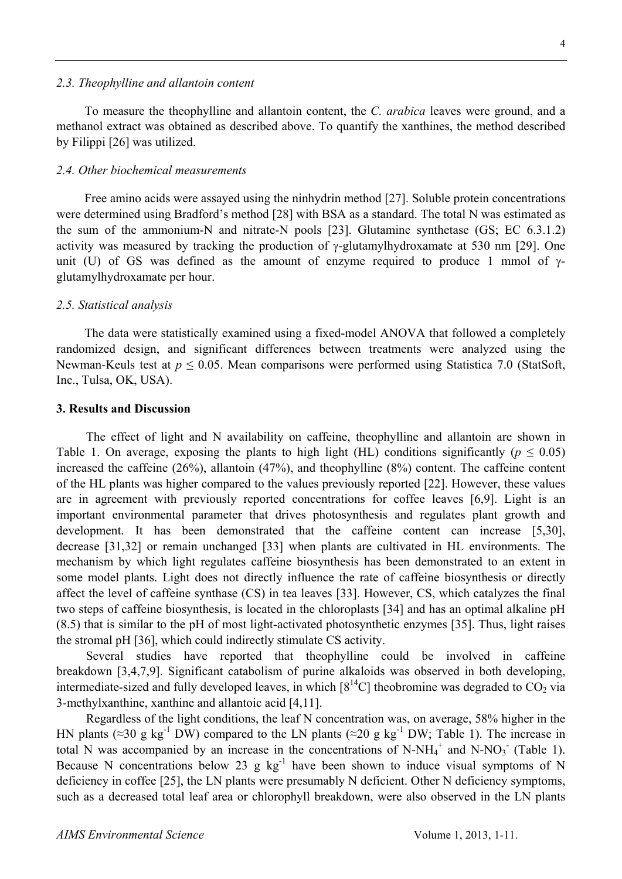To measure the theophylline and allantoin content, the *C. arabica* leaves were ground, and a methanol extract was obtained as described above. To quantify the xanthines, the method described by Filippi [26] was utilized.

#### *2.4. Other biochemical measurements*

Free amino acids were assayed using the ninhydrin method [27]. Soluble protein concentrations were determined using Bradford's method [28] with BSA as a standard. The total N was estimated as the sum of the ammonium-N and nitrate-N pools [23]. Glutamine synthetase (GS; EC 6.3.1.2) activity was measured by tracking the production of γ-glutamylhydroxamate at 530 nm [29]. One unit (U) of GS was defined as the amount of enzyme required to produce 1 mmol of  $\gamma$ glutamylhydroxamate per hour.

#### *2.5. Statistical analysis*

The data were statistically examined using a fixed-model ANOVA that followed a completely randomized design, and significant differences between treatments were analyzed using the Newman-Keuls test at *p* ≤ 0.05. Mean comparisons were performed using Statistica 7.0 (StatSoft, Inc., Tulsa, OK, USA).

#### **3. Results and Discussion**

The effect of light and N availability on caffeine, theophylline and allantoin are shown in Table 1. On average, exposing the plants to high light (HL) conditions significantly ( $p \le 0.05$ ) increased the caffeine (26%), allantoin (47%), and theophylline (8%) content. The caffeine content of the HL plants was higher compared to the values previously reported [22]. However, these values are in agreement with previously reported concentrations for coffee leaves [6,9]. Light is an important environmental parameter that drives photosynthesis and regulates plant growth and development. It has been demonstrated that the caffeine content can increase [5,30], decrease [31,32] or remain unchanged [33] when plants are cultivated in HL environments. The mechanism by which light regulates caffeine biosynthesis has been demonstrated to an extent in some model plants. Light does not directly influence the rate of caffeine biosynthesis or directly affect the level of caffeine synthase (CS) in tea leaves [33]. However, CS, which catalyzes the final two steps of caffeine biosynthesis, is located in the chloroplasts [34] and has an optimal alkaline pH (8.5) that is similar to the pH of most light-activated photosynthetic enzymes [35]. Thus, light raises the stromal pH [36], which could indirectly stimulate CS activity.

Several studies have reported that theophylline could be involved in caffeine breakdown [3,4,7,9]. Significant catabolism of purine alkaloids was observed in both developing, intermediate-sized and fully developed leaves, in which  $[8^{14}C]$  theobromine was degraded to  $CO<sub>2</sub>$  via 3-methylxanthine, xanthine and allantoic acid [4,11].

Regardless of the light conditions, the leaf N concentration was, on average, 58% higher in the HN plants (≈30 g kg<sup>-1</sup> DW) compared to the LN plants (≈20 g kg<sup>-1</sup> DW; Table 1). The increase in total N was accompanied by an increase in the concentrations of N-NH<sub>4</sub><sup>+</sup> and N-NO<sub>3</sub><sup>-</sup> (Table 1). Because N concentrations below 23 g  $kg^{-1}$  have been shown to induce visual symptoms of N deficiency in coffee [25], the LN plants were presumably N deficient. Other N deficiency symptoms, such as a decreased total leaf area or chlorophyll breakdown, were also observed in the LN plants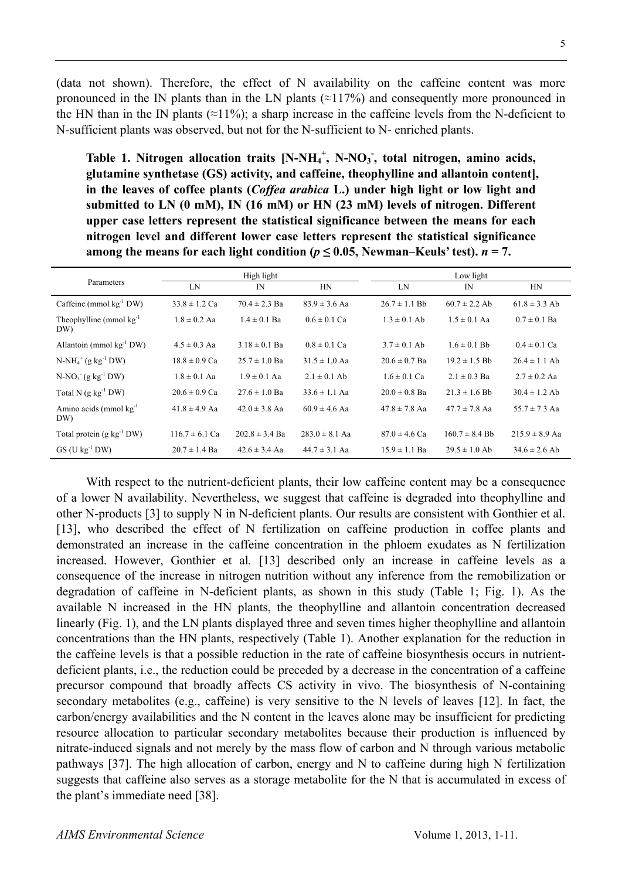(data not shown). Therefore, the effect of N availability on the caffeine content was more pronounced in the IN plants than in the LN plants  $(\approx 117\%)$  and consequently more pronounced in the HN than in the IN plants ( $\approx$ 11%); a sharp increase in the caffeine levels from the N-deficient to N-sufficient plants was observed, but not for the N-sufficient to N- enriched plants.

Table 1. Nitrogen allocation traits [N-NH<sub>4</sub><sup>+</sup>, N-NO<sub>3</sub><sup>-</sup>, total nitrogen, amino acids, **glutamine synthetase (GS) activity, and caffeine, theophylline and allantoin content], in the leaves of coffee plants (***Coffea arabica* **L.) under high light or low light and submitted to LN (0 mM), IN (16 mM) or HN (23 mM) levels of nitrogen. Different upper case letters represent the statistical significance between the means for each nitrogen level and different lower case letters represent the statistical significance among the means for each light condition (** $p \leq 0.05$ **, Newman–Keuls' test).**  $n = 7$ .

| Parameters                            | High light         |                    |                    | Low light         |                    |                    |
|---------------------------------------|--------------------|--------------------|--------------------|-------------------|--------------------|--------------------|
|                                       | LN                 | $_{\rm IN}$        | HN                 | LN                | IN                 | HN                 |
| Caffeine (mmol $kg^{-1}$ DW)          | $33.8 \pm 1.2$ Ca  | $70.4 \pm 2.3$ Ba  | $83.9 \pm 3.6$ Aa  | $26.7 \pm 1.1$ Bb | $60.7 \pm 2.2$ Ab  | $61.8 \pm 3.3$ Ab  |
| Theophylline (mmol $kg^{-1}$ )<br>DW) | $1.8 \pm 0.2$ Aa   | $1.4 \pm 0.1$ Ba   | $0.6 \pm 0.1$ Ca   | $1.3 \pm 0.1$ Ab  | $1.5 \pm 0.1$ Aa   | $0.7 \pm 0.1$ Ba   |
| Allantoin (mmol $kg^{-1}$ DW)         | $4.5 \pm 0.3$ Aa   | $3.18 \pm 0.1$ Ba  | $0.8 \pm 0.1$ Ca   | $3.7 \pm 0.1$ Ab  | $1.6 \pm 0.1$ Bb   | $0.4 \pm 0.1$ Ca   |
| $N-NH_4^+$ (g kg <sup>-1</sup> DW)    | $18.8 \pm 0.9$ Ca  | $25.7 \pm 1.0$ Ba  | $31.5 \pm 1.0$ Aa  | $20.6 \pm 0.7$ Ba | $19.2 \pm 1.5$ Bb  | $26.4 \pm 1.1$ Ab  |
| $N-NO_3$ (g kg <sup>-1</sup> DW)      | $1.8 \pm 0.1$ Aa   | $1.9 \pm 0.1$ Aa   | $2.1 \pm 0.1$ Ab   | $1.6 \pm 0.1$ Ca  | $2.1 \pm 0.3$ Ba   | $2.7 \pm 0.2$ Aa   |
| Total N $(g \ kg^{-1} DW)$            | $20.6 \pm 0.9$ Ca  | $27.6 \pm 1.0$ Ba  | $33.6 \pm 1.1$ Aa  | $20.0 \pm 0.8$ Ba | $21.3 \pm 1.6$ Bb  | $30.4 \pm 1.2$ Ab  |
| Amino acids (mmol $kg^{-1}$ )<br>DW)  | $41.8 \pm 4.9$ Aa  | $42.0 \pm 3.8$ Aa  | $60.9 \pm 4.6$ Aa  | $47.8 \pm 7.8$ Aa | $47.7 \pm 7.8$ Aa  | $55.7 \pm 7.3$ Aa  |
| Total protein $(g \, kg^{-1} DW)$     | $116.7 \pm 6.1$ Ca | $202.8 \pm 3.4$ Ba | $283.0 \pm 8.1$ Aa | $87.0 \pm 4.6$ Ca | $160.7 \pm 8.4$ Bh | $215.9 \pm 8.9$ Aa |
| $GS$ (U kg <sup>-1</sup> DW)          | $20.7 \pm 1.4$ Ba  | $42.6 \pm 3.4$ Aa  | $44.7 \pm 3.1$ Aa  | $15.9 \pm 1.1$ Ba | $29.5 \pm 1.0$ Ab  | $34.6 \pm 2.6$ Ab  |

With respect to the nutrient-deficient plants, their low caffeine content may be a consequence of a lower N availability. Nevertheless, we suggest that caffeine is degraded into theophylline and other N-products [3] to supply N in N-deficient plants. Our results are consistent with Gonthier et al. [13], who described the effect of N fertilization on caffeine production in coffee plants and demonstrated an increase in the caffeine concentration in the phloem exudates as N fertilization increased. However, Gonthier et al*.* [13] described only an increase in caffeine levels as a consequence of the increase in nitrogen nutrition without any inference from the remobilization or degradation of caffeine in N-deficient plants, as shown in this study (Table 1; Fig. 1). As the available N increased in the HN plants, the theophylline and allantoin concentration decreased linearly (Fig. 1), and the LN plants displayed three and seven times higher theophylline and allantoin concentrations than the HN plants, respectively (Table 1). Another explanation for the reduction in the caffeine levels is that a possible reduction in the rate of caffeine biosynthesis occurs in nutrientdeficient plants, i.e., the reduction could be preceded by a decrease in the concentration of a caffeine precursor compound that broadly affects CS activity in vivo. The biosynthesis of N-containing secondary metabolites (e.g., caffeine) is very sensitive to the N levels of leaves [12]. In fact, the carbon/energy availabilities and the N content in the leaves alone may be insufficient for predicting resource allocation to particular secondary metabolites because their production is influenced by nitrate-induced signals and not merely by the mass flow of carbon and N through various metabolic pathways [37]. The high allocation of carbon, energy and N to caffeine during high N fertilization suggests that caffeine also serves as a storage metabolite for the N that is accumulated in excess of the plant's immediate need [38].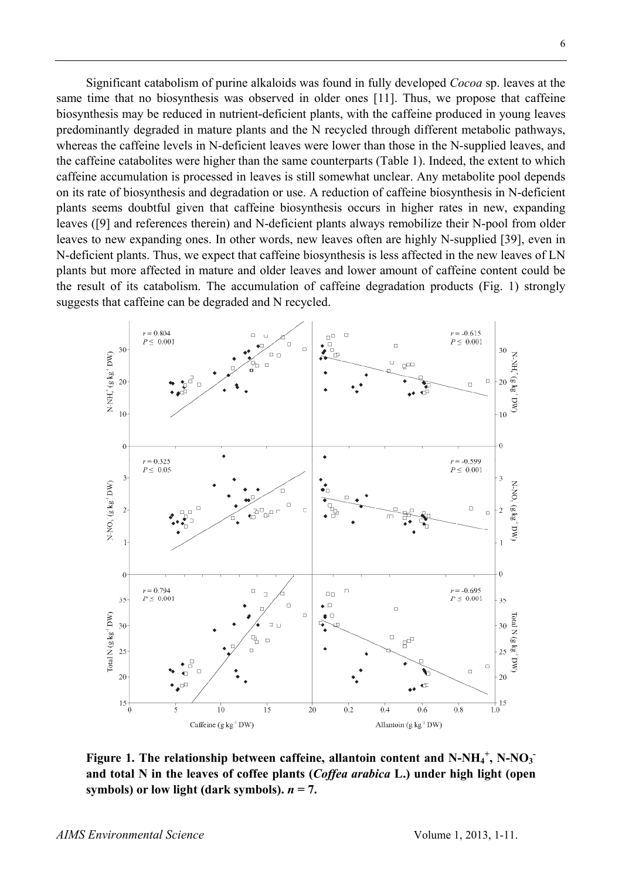Significant catabolism of purine alkaloids was found in fully developed *Cocoa* sp. leaves at the same time that no biosynthesis was observed in older ones [11]. Thus, we propose that caffeine biosynthesis may be reduced in nutrient-deficient plants, with the caffeine produced in young leaves predominantly degraded in mature plants and the N recycled through different metabolic pathways, whereas the caffeine levels in N-deficient leaves were lower than those in the N-supplied leaves, and the caffeine catabolites were higher than the same counterparts (Table 1). Indeed, the extent to which caffeine accumulation is processed in leaves is still somewhat unclear. Any metabolite pool depends on its rate of biosynthesis and degradation or use. A reduction of caffeine biosynthesis in N-deficient plants seems doubtful given that caffeine biosynthesis occurs in higher rates in new, expanding leaves ([9] and references therein) and N-deficient plants always remobilize their N-pool from older leaves to new expanding ones. In other words, new leaves often are highly N-supplied [39], even in N-deficient plants. Thus, we expect that caffeine biosynthesis is less affected in the new leaves of LN plants but more affected in mature and older leaves and lower amount of caffeine content could be the result of its catabolism. The accumulation of caffeine degradation products (Fig. 1) strongly suggests that caffeine can be degraded and N recycled.



Figure 1. The relationship between caffeine, allantoin content and N-NH<sub>4</sub><sup>+</sup>, N-NO<sub>3</sub><sup>+</sup> **and total N in the leaves of coffee plants (***Coffea arabica* **L.) under high light (open**  symbols) or low light (dark symbols).  $n = 7$ .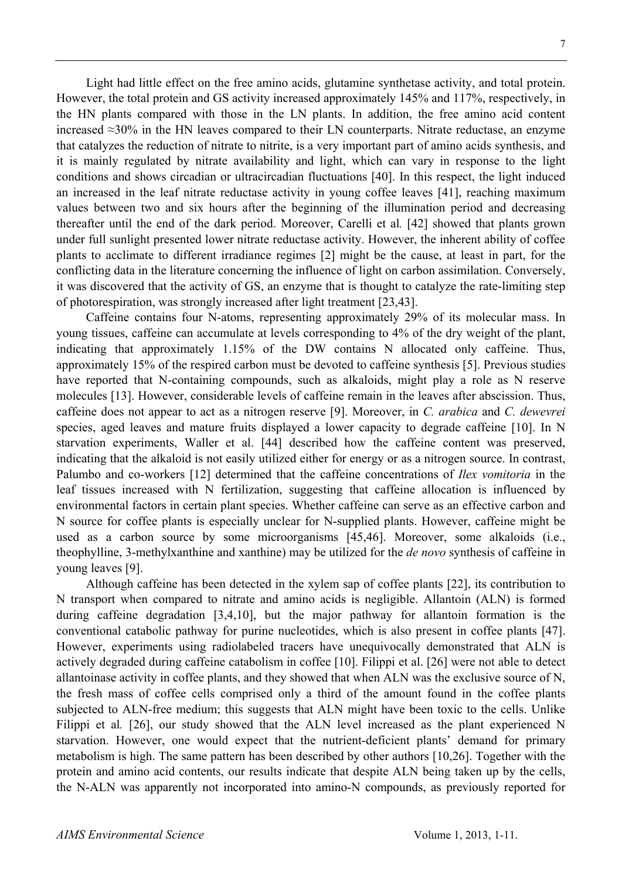Light had little effect on the free amino acids, glutamine synthetase activity, and total protein. However, the total protein and GS activity increased approximately 145% and 117%, respectively, in the HN plants compared with those in the LN plants. In addition, the free amino acid content increased ≈30% in the HN leaves compared to their LN counterparts. Nitrate reductase, an enzyme that catalyzes the reduction of nitrate to nitrite, is a very important part of amino acids synthesis, and it is mainly regulated by nitrate availability and light, which can vary in response to the light conditions and shows circadian or ultracircadian fluctuations [40]. In this respect, the light induced an increased in the leaf nitrate reductase activity in young coffee leaves [41], reaching maximum values between two and six hours after the beginning of the illumination period and decreasing thereafter until the end of the dark period. Moreover, Carelli et al*.* [42] showed that plants grown under full sunlight presented lower nitrate reductase activity. However, the inherent ability of coffee plants to acclimate to different irradiance regimes [2] might be the cause, at least in part, for the conflicting data in the literature concerning the influence of light on carbon assimilation. Conversely, it was discovered that the activity of GS, an enzyme that is thought to catalyze the rate-limiting step of photorespiration, was strongly increased after light treatment [23,43].

Caffeine contains four N-atoms, representing approximately 29% of its molecular mass. In young tissues, caffeine can accumulate at levels corresponding to 4% of the dry weight of the plant, indicating that approximately 1.15% of the DW contains N allocated only caffeine. Thus, approximately 15% of the respired carbon must be devoted to caffeine synthesis [5]. Previous studies have reported that N-containing compounds, such as alkaloids, might play a role as N reserve molecules [13]. However, considerable levels of caffeine remain in the leaves after abscission. Thus, caffeine does not appear to act as a nitrogen reserve [9]. Moreover, in *C. arabica* and *C. dewevrei* species, aged leaves and mature fruits displayed a lower capacity to degrade caffeine [10]. In N starvation experiments, Waller et al. [44] described how the caffeine content was preserved, indicating that the alkaloid is not easily utilized either for energy or as a nitrogen source. In contrast, Palumbo and co-workers [12] determined that the caffeine concentrations of *Ilex vomitoria* in the leaf tissues increased with N fertilization, suggesting that caffeine allocation is influenced by environmental factors in certain plant species. Whether caffeine can serve as an effective carbon and N source for coffee plants is especially unclear for N-supplied plants. However, caffeine might be used as a carbon source by some microorganisms [45,46]. Moreover, some alkaloids (i.e., theophylline, 3-methylxanthine and xanthine) may be utilized for the *de novo* synthesis of caffeine in young leaves [9].

Although caffeine has been detected in the xylem sap of coffee plants [22], its contribution to N transport when compared to nitrate and amino acids is negligible. Allantoin (ALN) is formed during caffeine degradation [3,4,10], but the major pathway for allantoin formation is the conventional catabolic pathway for purine nucleotides, which is also present in coffee plants [47]. However, experiments using radiolabeled tracers have unequivocally demonstrated that ALN is actively degraded during caffeine catabolism in coffee [10]. Filippi et al. [26] were not able to detect allantoinase activity in coffee plants, and they showed that when ALN was the exclusive source of N, the fresh mass of coffee cells comprised only a third of the amount found in the coffee plants subjected to ALN-free medium; this suggests that ALN might have been toxic to the cells. Unlike Filippi et al. [26], our study showed that the ALN level increased as the plant experienced N starvation. However, one would expect that the nutrient-deficient plants' demand for primary metabolism is high. The same pattern has been described by other authors [10,26]. Together with the protein and amino acid contents, our results indicate that despite ALN being taken up by the cells, the N-ALN was apparently not incorporated into amino-N compounds, as previously reported for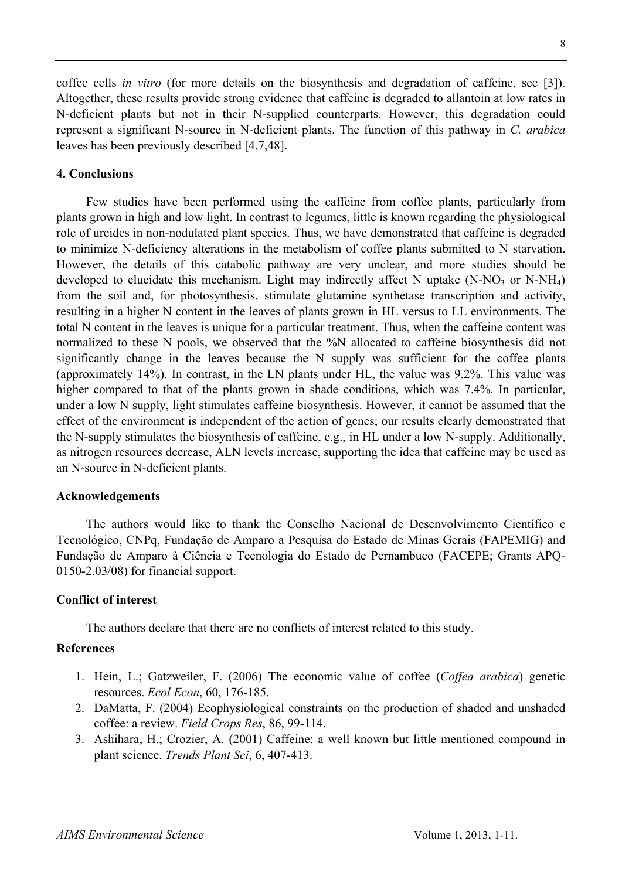coffee cells *in vitro* (for more details on the biosynthesis and degradation of caffeine, see [3]). Altogether, these results provide strong evidence that caffeine is degraded to allantoin at low rates in N-deficient plants but not in their N-supplied counterparts. However, this degradation could represent a significant N-source in N-deficient plants. The function of this pathway in *C. arabica*  leaves has been previously described [4,7,48].

#### **4. Conclusions**

Few studies have been performed using the caffeine from coffee plants, particularly from plants grown in high and low light. In contrast to legumes, little is known regarding the physiological role of ureides in non-nodulated plant species. Thus, we have demonstrated that caffeine is degraded to minimize N-deficiency alterations in the metabolism of coffee plants submitted to N starvation. However, the details of this catabolic pathway are very unclear, and more studies should be developed to elucidate this mechanism. Light may indirectly affect N uptake  $(N-NO_3)$  or  $N-NH_4$ ) from the soil and, for photosynthesis, stimulate glutamine synthetase transcription and activity, resulting in a higher N content in the leaves of plants grown in HL versus to LL environments. The total N content in the leaves is unique for a particular treatment. Thus, when the caffeine content was normalized to these N pools, we observed that the %N allocated to caffeine biosynthesis did not significantly change in the leaves because the N supply was sufficient for the coffee plants (approximately 14%). In contrast, in the LN plants under HL, the value was 9.2%. This value was higher compared to that of the plants grown in shade conditions, which was 7.4%. In particular, under a low N supply, light stimulates caffeine biosynthesis. However, it cannot be assumed that the effect of the environment is independent of the action of genes; our results clearly demonstrated that the N-supply stimulates the biosynthesis of caffeine, e.g., in HL under a low N-supply. Additionally, as nitrogen resources decrease, ALN levels increase, supporting the idea that caffeine may be used as an N-source in N-deficient plants.

#### **Acknowledgements**

The authors would like to thank the Conselho Nacional de Desenvolvimento Científico e Tecnológico, CNPq, Fundação de Amparo a Pesquisa do Estado de Minas Gerais (FAPEMIG) and Fundação de Amparo à Ciência e Tecnologia do Estado de Pernambuco (FACEPE; Grants APQ-0150-2.03/08) for financial support.

## **Conflict of interest**

The authors declare that there are no conflicts of interest related to this study.

## **References**

- 1. Hein, L.; Gatzweiler, F. (2006) The economic value of coffee (*Coffea arabica*) genetic resources. *Ecol Econ*, 60, 176-185.
- 2. DaMatta, F. (2004) Ecophysiological constraints on the production of shaded and unshaded coffee: a review. *Field Crops Res*, 86, 99-114.
- 3. Ashihara, H.; Crozier, A. (2001) Caffeine: a well known but little mentioned compound in plant science. *Trends Plant Sci*, 6, 407-413.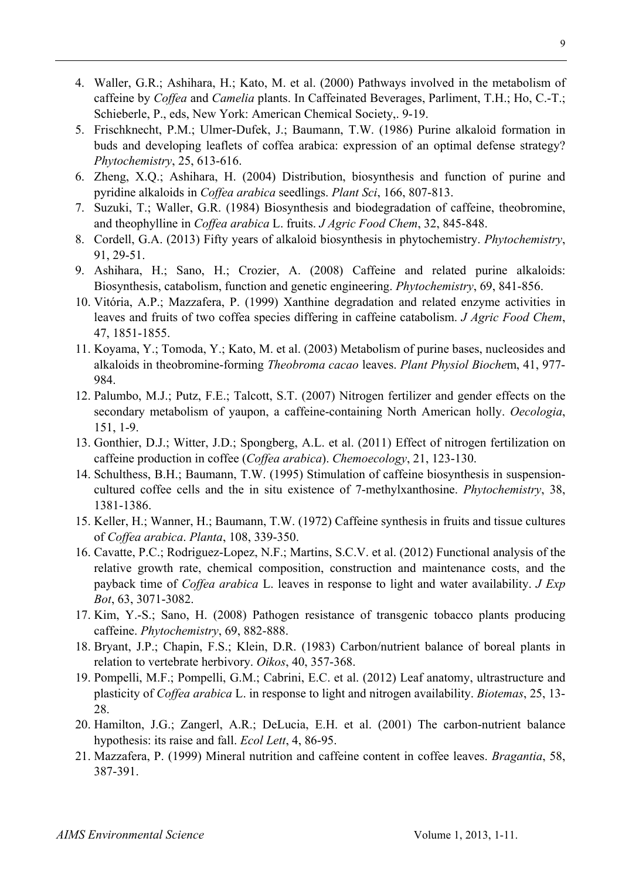- 4. Waller, G.R.; Ashihara, H.; Kato, M. et al. (2000) Pathways involved in the metabolism of caffeine by *Coffea* and *Camelia* plants. In Caffeinated Beverages, Parliment, T.H.; Ho, C.-T.; Schieberle, P., eds, New York: American Chemical Society,. 9-19.
- 5. Frischknecht, P.M.; Ulmer-Dufek, J.; Baumann, T.W. (1986) Purine alkaloid formation in buds and developing leaflets of coffea arabica: expression of an optimal defense strategy? *Phytochemistry*, 25, 613-616.
- 6. Zheng, X.Q.; Ashihara, H. (2004) Distribution, biosynthesis and function of purine and pyridine alkaloids in *Coffea arabica* seedlings. *Plant Sci*, 166, 807-813.
- 7. Suzuki, T.; Waller, G.R. (1984) Biosynthesis and biodegradation of caffeine, theobromine, and theophylline in *Coffea arabica* L. fruits. *J Agric Food Chem*, 32, 845-848.
- 8. Cordell, G.A. (2013) Fifty years of alkaloid biosynthesis in phytochemistry. *Phytochemistry*, 91, 29-51.
- 9. Ashihara, H.; Sano, H.; Crozier, A. (2008) Caffeine and related purine alkaloids: Biosynthesis, catabolism, function and genetic engineering. *Phytochemistry*, 69, 841-856.
- 10. Vitória, A.P.; Mazzafera, P. (1999) Xanthine degradation and related enzyme activities in leaves and fruits of two coffea species differing in caffeine catabolism. *J Agric Food Chem*, 47, 1851-1855.
- 11. Koyama, Y.; Tomoda, Y.; Kato, M. et al. (2003) Metabolism of purine bases, nucleosides and alkaloids in theobromine-forming *Theobroma cacao* leaves. *Plant Physiol Bioche*m, 41, 977- 984.
- 12. Palumbo, M.J.; Putz, F.E.; Talcott, S.T. (2007) Nitrogen fertilizer and gender effects on the secondary metabolism of yaupon, a caffeine-containing North American holly. *Oecologia*, 151, 1-9.
- 13. Gonthier, D.J.; Witter, J.D.; Spongberg, A.L. et al. (2011) Effect of nitrogen fertilization on caffeine production in coffee (*Coffea arabica*). *Chemoecology*, 21, 123-130.
- 14. Schulthess, B.H.; Baumann, T.W. (1995) Stimulation of caffeine biosynthesis in suspensioncultured coffee cells and the in situ existence of 7-methylxanthosine. *Phytochemistry*, 38, 1381-1386.
- 15. Keller, H.; Wanner, H.; Baumann, T.W. (1972) Caffeine synthesis in fruits and tissue cultures of *Coffea arabica*. *Planta*, 108, 339-350.
- 16. Cavatte, P.C.; Rodriguez-Lopez, N.F.; Martins, S.C.V. et al. (2012) Functional analysis of the relative growth rate, chemical composition, construction and maintenance costs, and the payback time of *Coffea arabica* L. leaves in response to light and water availability. *J Exp Bot*, 63, 3071-3082.
- 17. Kim, Y.-S.; Sano, H. (2008) Pathogen resistance of transgenic tobacco plants producing caffeine. *Phytochemistry*, 69, 882-888.
- 18. Bryant, J.P.; Chapin, F.S.; Klein, D.R. (1983) Carbon/nutrient balance of boreal plants in relation to vertebrate herbivory. *Oikos*, 40, 357-368.
- 19. Pompelli, M.F.; Pompelli, G.M.; Cabrini, E.C. et al. (2012) Leaf anatomy, ultrastructure and plasticity of *Coffea arabica* L. in response to light and nitrogen availability. *Biotemas*, 25, 13- 28.
- 20. Hamilton, J.G.; Zangerl, A.R.; DeLucia, E.H. et al. (2001) The carbon-nutrient balance hypothesis: its raise and fall. *Ecol Lett*, 4, 86-95.
- 21. Mazzafera, P. (1999) Mineral nutrition and caffeine content in coffee leaves. *Bragantia*, 58, 387-391.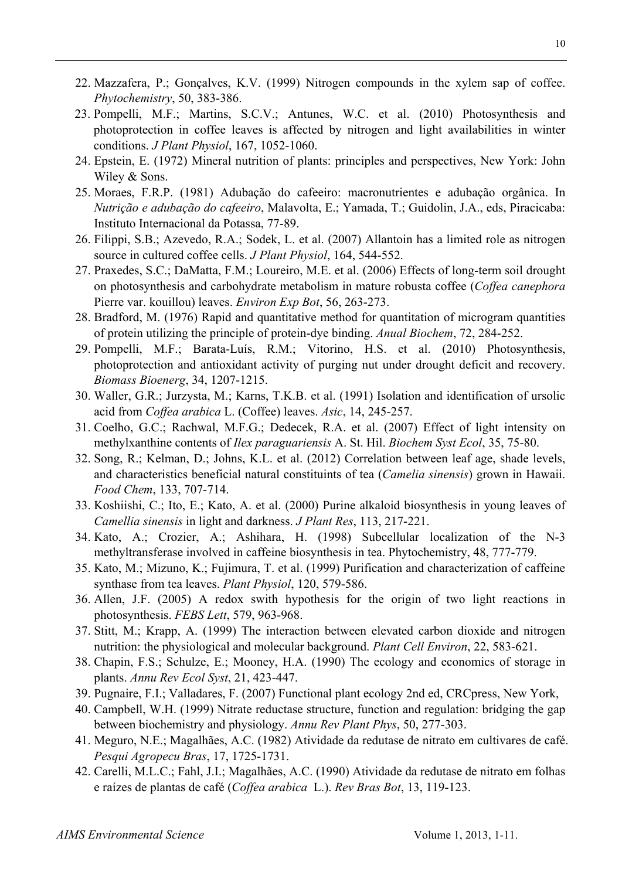- 22. Mazzafera, P.; Gonçalves, K.V. (1999) Nitrogen compounds in the xylem sap of coffee. *Phytochemistry*, 50, 383-386.
- 23. Pompelli, M.F.; Martins, S.C.V.; Antunes, W.C. et al. (2010) Photosynthesis and photoprotection in coffee leaves is affected by nitrogen and light availabilities in winter conditions. *J Plant Physiol*, 167, 1052-1060.
- 24. Epstein, E. (1972) Mineral nutrition of plants: principles and perspectives, New York: John Wiley & Sons.
- 25. Moraes, F.R.P. (1981) Adubação do cafeeiro: macronutrientes e adubação orgânica. In *Nutrição e adubação do cafeeiro*, Malavolta, E.; Yamada, T.; Guidolin, J.A., eds, Piracicaba: Instituto Internacional da Potassa, 77-89.
- 26. Filippi, S.B.; Azevedo, R.A.; Sodek, L. et al. (2007) Allantoin has a limited role as nitrogen source in cultured coffee cells. *J Plant Physiol*, 164, 544-552.
- 27. Praxedes, S.C.; DaMatta, F.M.; Loureiro, M.E. et al. (2006) Effects of long-term soil drought on photosynthesis and carbohydrate metabolism in mature robusta coffee (*Coffea canephora*  Pierre var. kouillou) leaves. *Environ Exp Bot*, 56, 263-273.
- 28. Bradford, M. (1976) Rapid and quantitative method for quantitation of microgram quantities of protein utilizing the principle of protein-dye binding. *Anual Biochem*, 72, 284-252.
- 29. Pompelli, M.F.; Barata-Luís, R.M.; Vitorino, H.S. et al. (2010) Photosynthesis, photoprotection and antioxidant activity of purging nut under drought deficit and recovery. *Biomass Bioenerg*, 34, 1207-1215.
- 30. Waller, G.R.; Jurzysta, M.; Karns, T.K.B. et al. (1991) Isolation and identification of ursolic acid from *Coffea arabica* L. (Coffee) leaves. *Asic*, 14, 245-257.
- 31. Coelho, G.C.; Rachwal, M.F.G.; Dedecek, R.A. et al. (2007) Effect of light intensity on methylxanthine contents of *Ilex paraguariensis* A. St. Hil. *Biochem Syst Ecol*, 35, 75-80.
- 32. Song, R.; Kelman, D.; Johns, K.L. et al. (2012) Correlation between leaf age, shade levels, and characteristics beneficial natural constituints of tea (*Camelia sinensis*) grown in Hawaii. *Food Chem*, 133, 707-714.
- 33. Koshiishi, C.; Ito, E.; Kato, A. et al. (2000) Purine alkaloid biosynthesis in young leaves of *Camellia sinensis* in light and darkness. *J Plant Res*, 113, 217-221.
- 34. Kato, A.; Crozier, A.; Ashihara, H. (1998) Subcellular localization of the N-3 methyltransferase involved in caffeine biosynthesis in tea. Phytochemistry, 48, 777-779.
- 35. Kato, M.; Mizuno, K.; Fujimura, T. et al. (1999) Purification and characterization of caffeine synthase from tea leaves. *Plant Physiol*, 120, 579-586.
- 36. Allen, J.F. (2005) A redox swith hypothesis for the origin of two light reactions in photosynthesis. *FEBS Lett*, 579, 963-968.
- 37. Stitt, M.; Krapp, A. (1999) The interaction between elevated carbon dioxide and nitrogen nutrition: the physiological and molecular background. *Plant Cell Environ*, 22, 583-621.
- 38. Chapin, F.S.; Schulze, E.; Mooney, H.A. (1990) The ecology and economics of storage in plants. *Annu Rev Ecol Syst*, 21, 423-447.
- 39. Pugnaire, F.I.; Valladares, F. (2007) Functional plant ecology 2nd ed, CRCpress, New York,
- 40. Campbell, W.H. (1999) Nitrate reductase structure, function and regulation: bridging the gap between biochemistry and physiology. *Annu Rev Plant Phys*, 50, 277-303.
- 41. Meguro, N.E.; Magalhães, A.C. (1982) Atividade da redutase de nitrato em cultivares de café. *Pesqui Agropecu Bras*, 17, 1725-1731.
- 42. Carelli, M.L.C.; Fahl, J.I.; Magalhães, A.C. (1990) Atividade da redutase de nitrato em folhas e raízes de plantas de café (*Coffea arabica* L.). *Rev Bras Bot*, 13, 119-123.